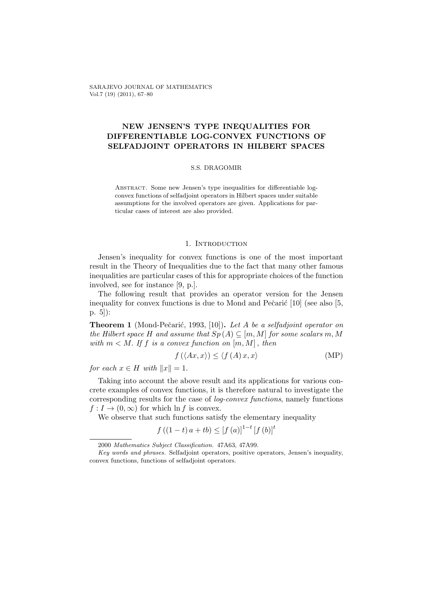SARAJEVO JOURNAL OF MATHEMATICS Vol.7 (19) (2011), 67–80

# NEW JENSEN'S TYPE INEQUALITIES FOR DIFFERENTIABLE LOG-CONVEX FUNCTIONS OF SELFADJOINT OPERATORS IN HILBERT SPACES

## S.S. DRAGOMIR

Abstract. Some new Jensen's type inequalities for differentiable logconvex functions of selfadjoint operators in Hilbert spaces under suitable assumptions for the involved operators are given. Applications for particular cases of interest are also provided.

## 1. INTRODUCTION

Jensen's inequality for convex functions is one of the most important result in the Theory of Inequalities due to the fact that many other famous inequalities are particular cases of this for appropriate choices of the function involved, see for instance [9, p.].

The following result that provides an operator version for the Jensen inequality for convex functions is due to Mond and Pečarić  $[10]$  (see also  $[5,$ p. 5]):

Theorem 1 (Mond-Pečarić, 1993, [10]). Let A be a selfadjoint operator on the Hilbert space H and assume that  $Sp(A) \subseteq [m, M]$  for some scalars m, M with  $m < M$ . If f is a convex function on  $[m, M]$ , then

$$
f(\langle Ax, x \rangle) \le \langle f(A) x, x \rangle \tag{MP}
$$

for each  $x \in H$  with  $||x|| = 1$ .

Taking into account the above result and its applications for various concrete examples of convex functions, it is therefore natural to investigate the corresponding results for the case of log-convex functions, namely functions  $f: I \to (0,\infty)$  for which ln f is convex.

We observe that such functions satisfy the elementary inequality

$$
f((1-t)a + tb) \leq [f(a)]^{1-t} [f(b)]^t
$$

<sup>2000</sup> Mathematics Subject Classification. 47A63, 47A99.

Key words and phrases. Selfadjoint operators, positive operators, Jensen's inequality, convex functions, functions of selfadjoint operators.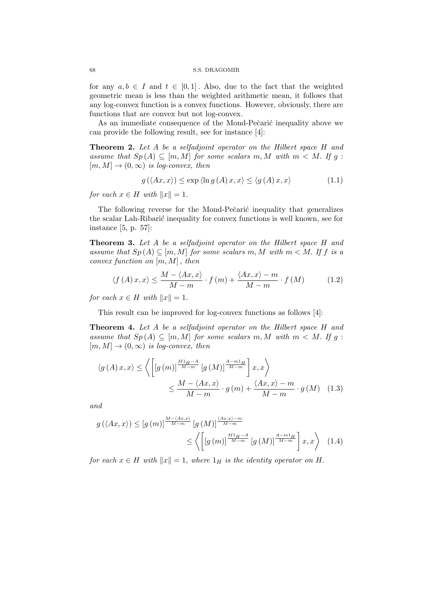for any  $a, b \in I$  and  $t \in [0, 1]$ . Also, due to the fact that the weighted geometric mean is less than the weighted arithmetic mean, it follows that any log-convex function is a convex functions. However, obviously, there are functions that are convex but not log-convex.

As an immediate consequence of the Mond-Pečarić inequality above we can provide the following result, see for instance [4]:

**Theorem 2.** Let A be a selfadjoint operator on the Hilbert space H and assume that  $Sp(A) \subseteq [m, M]$  for some scalars m, M with  $m < M$ . If g:  $[m, M] \rightarrow (0, \infty)$  is log-convex, then

$$
g(\langle Ax, x \rangle) \le \exp \langle \ln g(A) x, x \rangle \le \langle g(A) x, x \rangle \tag{1.1}
$$

for each  $x \in H$  with  $||x|| = 1$ .

The following reverse for the Mond-Pečarić inequality that generalizes the scalar Lah-Ribarić inequality for convex functions is well known, see for instance [5, p. 57]:

Theorem 3. Let A be a selfadjoint operator on the Hilbert space H and assume that  $Sp(A) \subseteq [m, M]$  for some scalars m, M with  $m < M$ . If f is a convex function on  $[m, M]$ , then

$$
\langle f(A)x, x \rangle \le \frac{M - \langle Ax, x \rangle}{M - m} \cdot f(m) + \frac{\langle Ax, x \rangle - m}{M - m} \cdot f(M) \tag{1.2}
$$

for each  $x \in H$  with  $||x|| = 1$ .

This result can be improved for log-convex functions as follows [4]:

Theorem 4. Let A be a selfadjoint operator on the Hilbert space H and assume that  $Sp(A) \subseteq [m, M]$  for some scalars m, M with  $m < M$ . If q:  $[m, M] \rightarrow (0, \infty)$  is log-convex, then

$$
\langle g(A) x, x \rangle \le \left\langle \left[ \left[ g(m) \right]^{\frac{M1_H - A}{M - m}} \left[ g(M) \right]^{\frac{A - m1_H}{M - m}} \right] x, x \right\rangle
$$
  

$$
\le \frac{M - \langle Ax, x \rangle}{M - m} \cdot g(m) + \frac{\langle Ax, x \rangle - m}{M - m} \cdot g(M) \quad (1.3)
$$

and

$$
g\left(\langle Ax, x \rangle\right) \leq \left[g\left(m\right)\right]^{\frac{M - \langle Ax, x \rangle}{M - m}} \left[g\left(M\right)\right]^{\frac{\langle Ax, x \rangle - m}{M - m}} \leq \left\langle \left[\left[g\left(m\right)\right]^{\frac{M1_H - A}{M - m}} \left[g\left(M\right)\right]^{\frac{A - m1_H}{M - m}}\right] x, x \right\rangle \tag{1.4}
$$

for each  $x \in H$  with  $||x|| = 1$ , where  $1_H$  is the identity operator on H.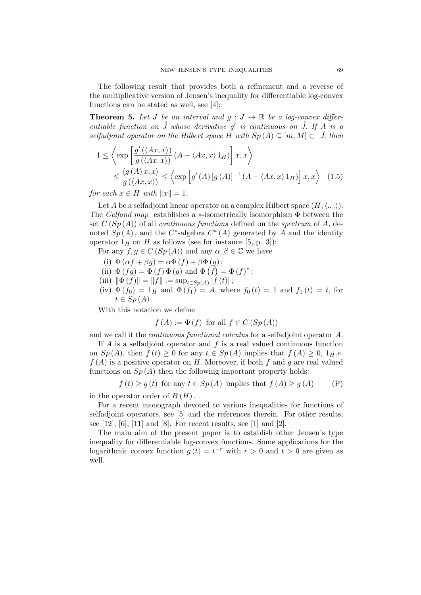The following result that provides both a refinement and a reverse of the multiplicative version of Jensen's inequality for differentiable log-convex functions can be stated as well, see [4]:

**Theorem 5.** Let J be an interval and  $q: J \to \mathbb{R}$  be a log-convex differentiable function on  $\mathring{J}$  whose derivative  $g'$  is continuous on  $\mathring{J}$ . If A is a selfadjoint operator on the Hilbert space H with  $Sp(A) \subseteq [m, M] \subset \mathring{J}$ , then

$$
1 \leq \left\langle \exp\left[\frac{g'(\langle Ax, x \rangle)}{g(\langle Ax, x \rangle)} (A - \langle Ax, x \rangle 1_H) \right] x, x \right\rangle
$$
  

$$
\leq \frac{\langle g(A) x, x \rangle}{g(\langle Ax, x \rangle)} \leq \left\langle \exp\left[g'(A) [g(A)]^{-1} (A - \langle Ax, x \rangle 1_H) \right] x, x \right\rangle \quad (1.5)
$$

for each  $x \in H$  with  $||x|| = 1$ .

Let A be a selfadjoint linear operator on a complex Hilbert space  $(H; \langle ., . \rangle)$ . The Gelfand map establishes a  $\ast$ -isometrically isomorphism  $\Phi$  between the set  $C(Sp(A))$  of all *continuous functions* defined on the *spectrum* of A, denoted  $Sp(A)$ , and the C<sup>\*</sup>-algebra  $C^*(A)$  generated by A and the identity operator  $1_H$  on H as follows (see for instance [5, p. 3]):

For any  $f, g \in C(Sp(A))$  and any  $\alpha, \beta \in \mathbb{C}$  we have

- (i)  $\Phi(\alpha f + \beta g) = \alpha \Phi(f) + \beta \Phi(g);$
- (ii)  $\Phi(fg) = \Phi(f) \Phi(g)$  and  $\Phi(\overline{f}) = \Phi(f)^*$ ;
- (iii)  $\|\Phi(f)\| = \|f\| := \sup_{t \in Sp(A)} |f(t)|;$
- (iv)  $\Phi(f_0) = 1_H$  and  $\Phi(f_1) = A$ , where  $f_0(t) = 1$  and  $f_1(t) = t$ , for  $t \in Sp(A)$ .

With this notation we define

$$
f(A) := \Phi(f)
$$
 for all  $f \in C(Sp(A))$ 

and we call it the continuous functional calculus for a selfadjoint operator A.

If  $A$  is a selfadjoint operator and  $f$  is a real valued continuous function on  $Sp(A)$ , then  $f(t) \geq 0$  for any  $t \in Sp(A)$  implies that  $f(A) \geq 0$ ,  $1_H.e.$  $f(A)$  is a positive operator on H. Moreover, if both f and q are real valued functions on  $Sp(A)$  then the following important property holds:

$$
f(t) \ge g(t)
$$
 for any  $t \in Sp(A)$  implies that  $f(A) \ge g(A)$  (P)

in the operator order of  $B(H)$ .

For a recent monograph devoted to various inequalities for functions of selfadjoint operators, see [5] and the references therein. For other results, see  $[12]$ ,  $[6]$ ,  $[11]$  and  $[8]$ . For recent results, see  $[1]$  and  $[2]$ .

The main aim of the present paper is to establish other Jensen's type inequality for differentiable log-convex functions. Some applications for the logarithmic convex function  $g(t) = t^{-r}$  with  $r > 0$  and  $t > 0$  are given as well.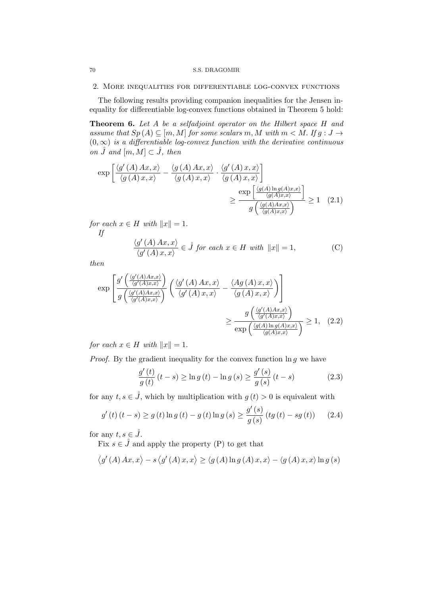#### 2. More inequalities for differentiable log-convex functions

The following results providing companion inequalities for the Jensen inequality for differentiable log-convex functions obtained in Theorem 5 hold:

Theorem 6. Let A be a selfadjoint operator on the Hilbert space H and assume that  $Sp(A) \subseteq [m, M]$  for some scalars m, M with  $m < M$ . If  $g : J \to$  $(0, \infty)$  is a differentiable log-convex function with the derivative continuous on  $\tilde{J}$  and  $[m, M] \subset \tilde{J}$ , then

$$
\exp\left[\frac{\langle g'(A) Ax, x \rangle}{\langle g(A) x, x \rangle} - \frac{\langle g(A) Ax, x \rangle}{\langle g(A) x, x \rangle} \cdot \frac{\langle g'(A) x, x \rangle}{\langle g(A) x, x \rangle}\right] \ge \frac{\exp\left[\frac{\langle g(A) \ln g(A) x, x \rangle}{\langle g(A) x, x \rangle}\right]}{g\left(\frac{\langle g(A) \ln g(A) x, x \rangle}{\langle g(A) x, x \rangle}\right)} \ge 1 \quad (2.1)
$$

for each  $x \in H$  with  $||x|| = 1$ . If

$$
\frac{\langle g'(A) \, Ax, x \rangle}{\langle g'(A) \, x, x \rangle} \in \mathring{J} \text{ for each } x \in H \text{ with } ||x|| = 1,
$$
 (C)

then

$$
\exp\left[\frac{g'\left(\frac{\langle g'(A)Ax,x\rangle}{\langle g'(A)x,x\rangle}\right)}{g\left(\frac{\langle g'(A)Ax,x\rangle}{\langle g'(A)x,x\rangle}\right)}\left(\frac{\langle g'(A)Ax,x\rangle}{\langle g'(A)x,x\rangle}-\frac{\langle Ag(A)x,x\rangle}{\langle g(A)x,x\rangle}\right)\right] \ge \frac{g\left(\frac{\langle g'(A)Ax,x\rangle}{\langle g'(A)x,x\rangle}\right)}{\exp\left(\frac{\langle g(A)x,x\rangle}{\langle g(A)x,x\rangle}\right)} \ge 1, (2.2)
$$

for each  $x \in H$  with  $||x|| = 1$ .

*Proof.* By the gradient inequality for the convex function  $\ln g$  we have

$$
\frac{g'(t)}{g(t)}(t-s) \ge \ln g(t) - \ln g(s) \ge \frac{g'(s)}{g(s)}(t-s)
$$
\n(2.3)

for any  $t, s \in \mathring{J}$ , which by multiplication with  $g(t) > 0$  is equivalent with

$$
g'(t)(t-s) \ge g(t) \ln g(t) - g(t) \ln g(s) \ge \frac{g'(s)}{g(s)} (tg(t) - sg(t)) \tag{2.4}
$$

for any  $t, s \in \mathring{J}$ .

Fix  $s \in \mathring{J}$  and apply the property (P) to get that

$$
\left\langle g'(A) \, Ax, x \right\rangle - s \left\langle g'(A) \, x, x \right\rangle \ge \left\langle g(A) \ln g(A) \, x, x \right\rangle - \left\langle g(A) \, x, x \right\rangle \ln g(s)
$$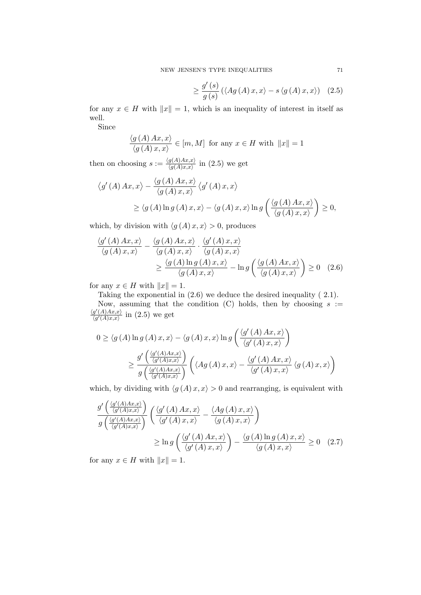$$
\geq \frac{g'(s)}{g(s)} \left( \langle Ag(A) x, x \rangle - s \langle g(A) x, x \rangle \right) \tag{2.5}
$$

for any  $x \in H$  with  $||x|| = 1$ , which is an inequality of interest in itself as well.

Since

$$
\frac{\langle g(A) \, Ax, x \rangle}{\langle g(A) \, x, x \rangle} \in [m, M] \text{ for any } x \in H \text{ with } ||x|| = 1
$$

then on choosing  $s := \frac{\langle g(A)Ax, x \rangle}{\langle g(A)xx \rangle}$  $\frac{g(A)Ax,x'}{\langle g(A)x,x\rangle}$  in  $(2.5)$  we get

$$
\langle g'(A) Ax, x \rangle - \frac{\langle g(A) Ax, x \rangle}{\langle g(A) x, x \rangle} \langle g'(A) x, x \rangle
$$
  
 
$$
\geq \langle g(A) \ln g(A) x, x \rangle - \langle g(A) x, x \rangle \ln g\left(\frac{\langle g(A) Ax, x \rangle}{\langle g(A) x, x \rangle} \right) \geq 0,
$$

which, by division with  $\langle g(A) x, x \rangle > 0$ , produces

$$
\frac{\langle g'(A) Ax, x \rangle}{\langle g(A) x, x \rangle} - \frac{\langle g(A) Ax, x \rangle}{\langle g(A) x, x \rangle} \cdot \frac{\langle g'(A) x, x \rangle}{\langle g(A) x, x \rangle} \n\geq \frac{\langle g(A) \ln g(A) x, x \rangle}{\langle g(A) x, x \rangle} - \ln g\left(\frac{\langle g(A) Ax, x \rangle}{\langle g(A) x, x \rangle}\right) \geq 0 \quad (2.6)
$$

for any  $x \in H$  with  $||x|| = 1$ .

Taking the exponential in (2.6) we deduce the desired inequality ( 2.1). Now, assuming that the condition (C) holds, then by choosing  $s :=$  $\langle g'(A)Ax,x\rangle$  $\frac{g'(A)Ax,x}{\langle g'(A)x,x\rangle}$  in  $(2.5)$  we get

$$
0 \geq \langle g(A) \ln g(A) x, x \rangle - \langle g(A) x, x \rangle \ln g\left(\frac{\langle g'(A) Ax, x \rangle}{\langle g'(A) x, x \rangle}\right)
$$
  

$$
\geq \frac{g'\left(\frac{\langle g'(A)Ax, x \rangle}{\langle g'(A) x, x \rangle}\right)}{g\left(\frac{\langle g'(A)Ax, x \rangle}{\langle g'(A) x, x \rangle}\right)} \left(\langle Ag(A) x, x \rangle - \frac{\langle g'(A) Ax, x \rangle}{\langle g'(A) x, x \rangle} \langle g(A) x, x \rangle\right)
$$

which, by dividing with  $\langle g(A) x, x \rangle > 0$  and rearranging, is equivalent with

$$
\frac{g'\left(\frac{\langle g'(A)Ax,x\rangle}{\langle g'(A)Ax,x\rangle}\right)}{g\left(\frac{\langle g'(A)Ax,x\rangle}{\langle g'(A)x,x\rangle}\right)}\left(\frac{\langle g'(A)Ax,x\rangle}{\langle g'(A)x,x\rangle}-\frac{\langle Ag(A)x,x\rangle}{\langle g(A)x,x\rangle}\right)
$$
\n
$$
\geq \ln g\left(\frac{\langle g'(A)Ax,x\rangle}{\langle g'(A)x,x\rangle}\right)-\frac{\langle g(A)\ln g(A)x,x\rangle}{\langle g(A)x,x\rangle}\geq 0 \quad (2.7)
$$

for any  $x \in H$  with  $||x|| = 1$ .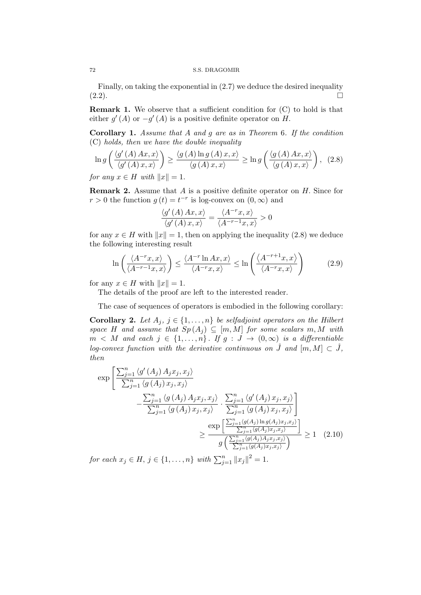Finally, on taking the exponential in (2.7) we deduce the desired inequality  $(2.2).$ 

Remark 1. We observe that a sufficient condition for (C) to hold is that either  $g'(A)$  or  $-g'(A)$  is a positive definite operator on H.

Corollary 1. Assume that A and g are as in Theorem 6. If the condition (C) holds, then we have the double inequality

$$
\ln g\left(\frac{\langle g'(A)Ax, x\rangle}{\langle g'(A)x, x\rangle}\right) \ge \frac{\langle g(A)\ln g(A)x, x\rangle}{\langle g(A)x, x\rangle} \ge \ln g\left(\frac{\langle g(A)Ax, x\rangle}{\langle g(A)x, x\rangle}\right), (2.8)
$$

for any  $x \in H$  with  $||x|| = 1$ .

**Remark 2.** Assume that  $A$  is a positive definite operator on  $H$ . Since for  $r > 0$  the function  $g(t) = t^{-r}$  is log-convex on  $(0, \infty)$  and

$$
\frac{\langle g'(A) \, Ax, x \rangle}{\langle g'(A) \, x, x \rangle} = \frac{\langle A^{-r} x, x \rangle}{\langle A^{-r-1} x, x \rangle} > 0
$$

for any  $x \in H$  with  $||x|| = 1$ , then on applying the inequality (2.8) we deduce the following interesting result

$$
\ln\left(\frac{\langle A^{-r}x, x\rangle}{\langle A^{-r-1}x, x\rangle}\right) \le \frac{\langle A^{-r}\ln Ax, x\rangle}{\langle A^{-r}x, x\rangle} \le \ln\left(\frac{\langle A^{-r+1}x, x\rangle}{\langle A^{-r}x, x\rangle}\right) \tag{2.9}
$$

for any  $x \in H$  with  $||x|| = 1$ .

The details of the proof are left to the interested reader.

The case of sequences of operators is embodied in the following corollary:

Corollary 2. Let  $A_j$ ,  $j \in \{1, \ldots, n\}$  be selfadjoint operators on the Hilbert space H and assume that  $Sp(A_i) \subseteq [m, M]$  for some scalars m, M with  $m \lt M$  and each  $j \in \{1, \ldots, n\}$ . If  $g : J \to (0, \infty)$  is a differentiable log-convex function with the derivative continuous on  $\tilde{J}$  and  $[m, M] \subset \tilde{J}$ , then

$$
\exp\left[\frac{\sum_{j=1}^{n} \langle g'(A_j) A_j x_j, x_j \rangle}{\sum_{j=1}^{n} \langle g(A_j) x_j, x_j \rangle} - \frac{\sum_{j=1}^{n} \langle g(A_j) A_j x_j, x_j \rangle}{\sum_{j=1}^{n} \langle g(A_j) A_j x_j, x_j \rangle} \cdot \frac{\sum_{j=1}^{n} \langle g'(A_j) x_j, x_j \rangle}{\sum_{j=1}^{n} \langle g(A_j) x_j, x_j \rangle} \right]
$$
\n
$$
\geq \frac{\exp\left[\frac{\sum_{j=1}^{n} \langle g(A_j) B_j x_j, x_j \rangle}{\sum_{j=1}^{n} \langle g(A_j) x_j, x_j \rangle} \right]}{g\left(\frac{\sum_{j=1}^{n} \langle g(A_j) A_j x_j, x_j \rangle}{\sum_{j=1}^{n} \langle g(A_j) A_j x_j, x_j \rangle} \right)} \geq 1 \quad (2.10)
$$
\nwhere  $A$  is a set of  $A$ ,  $A$  is a set of  $A$ , and  $A$  is a set of  $A$ , and  $A$  is a set of  $A$ , and  $A$  is a set of  $A$ , and  $A$  is a set of  $A$ , and  $A$  is a set of  $A$ , and  $A$  is a set of  $A$ , and  $A$  is a set of  $A$ , and  $A$  is a set of  $A$ , and  $A$  is a set of  $A$ , and  $A$  is a set of  $A$ , and  $A$  is a set of  $A$ , and  $A$  is a set of  $A$ , and  $A$  is a set of  $A$ , and  $A$  is a set of  $A$ , and  $A$  is a set of  $A$ , and  $A$  is a set of 

for each  $x_j \in H$ ,  $j \in \{1, ..., n\}$  with  $\sum_{j=1}^n ||x_j||^2 = 1$ .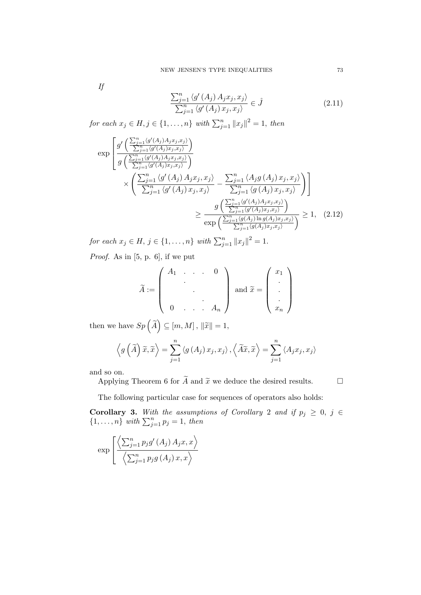If

$$
\frac{\sum_{j=1}^{n} \langle g'(A_j) A_j x_j, x_j \rangle}{\sum_{j=1}^{n} \langle g'(A_j) x_j, x_j \rangle} \in \mathring{J}
$$
\n(2.11)

for each  $x_j \in H, j \in \{1, \ldots, n\}$  with  $\sum_{j=1}^n ||x_j||^2 = 1$ , then

$$
\exp\left[\frac{g'\left(\frac{\sum_{j=1}^{n} \langle g'(A_j)A_jx_j, x_j \rangle}{\sum_{j=1}^{n} \langle g'(A_j)A_jx_j, x_j \rangle}\right)}{g\left(\frac{\sum_{j=1}^{n} \langle g'(A_j)A_jx_j, x_j \rangle}{\sum_{j=1}^{n} \langle g'(A_j)A_jx_j, x_j \rangle}\right)} \times \left(\frac{\sum_{j=1}^{n} \langle g'(A_j)A_jx_j, x_j \rangle}{\sum_{j=1}^{n} \langle g'(A_j) x_j, x_j \rangle} - \frac{\sum_{j=1}^{n} \langle A_jg(A_j) x_j, x_j \rangle}{\sum_{j=1}^{n} \langle g(A_j) x_j, x_j \rangle}\right)}{g\left(\frac{\sum_{j=1}^{n} \langle g'(A_j)A_jx_j, x_j \rangle}{\sum_{j=1}^{n} \langle g'(A_j)x_j, x_j \rangle}\right)} \ge 1, (2.12)
$$

for each  $x_j \in H$ ,  $j \in \{1, ..., n\}$  with  $\sum_{j=1}^n ||x_j||^2 = 1$ .

Proof. As in [5, p. 6], if we put

$$
\widetilde{A} := \left( \begin{array}{ccc} A_1 & \ldots & 0 \\ \vdots & \vdots & \vdots \\ 0 & \ldots & A_n \end{array} \right) \text{ and } \widetilde{x} = \left( \begin{array}{c} x_1 \\ \vdots \\ x_n \end{array} \right)
$$

then we have  $Sp\left(\widetilde{A}\right) \subseteq [m, M]$ ,  $\|\widetilde{x}\|=1$ ,

$$
\left\langle g\left(\widetilde{A}\right)\widetilde{x},\widetilde{x}\right\rangle =\sum_{j=1}^{n}\left\langle g\left(A_{j}\right)x_{j},x_{j}\right\rangle ,\left\langle \widetilde{A}\widetilde{x},\widetilde{x}\right\rangle =\sum_{j=1}^{n}\left\langle A_{j}x_{j},x_{j}\right\rangle
$$

and so on.

Applying Theorem 6 for  $\widetilde{A}$  and  $\widetilde{x}$  we deduce the desired results.  $\square$ 

The following particular case for sequences of operators also holds:

**Corollary 3.** With the assumptions of Corollary 2 and if  $p_j \geq 0$ ,  $j \in$  $\{1,\ldots,n\}$  with  $\sum_{j=1}^n p_j = 1$ , then

$$
\exp\left[\frac{\left\langle\sum_{j=1}^{n}p_{j}g'\left(A_{j}\right)A_{j}x,x\right\rangle}{\left\langle\sum_{j=1}^{n}p_{j}g\left(A_{j}\right)x,x\right\rangle}\right]
$$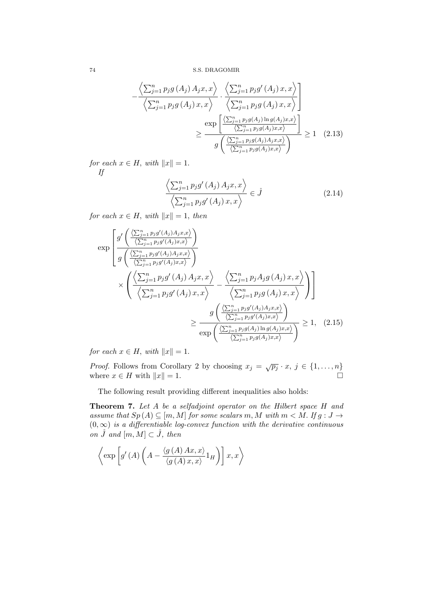$$
-\frac{\left\langle \sum_{j=1}^{n} p_{j}g\left(A_{j}\right)A_{j}x,x\right\rangle}{\left\langle \sum_{j=1}^{n} p_{j}g\left(A_{j}\right)x,x\right\rangle} \cdot \frac{\left\langle \sum_{j=1}^{n} p_{j}g'\left(A_{j}\right)x,x\right\rangle}{\left\langle \sum_{j=1}^{n} p_{j}g\left(A_{j}\right)x,x\right\rangle}\right] \times \frac{\exp\left[\frac{\left\langle \sum_{j=1}^{n} p_{j}g\left(A_{j}\right)x,x\right\rangle}{\left\langle \sum_{j=1}^{n} p_{j}g\left(A_{j}\right)x,x\right\rangle}\right]}{g\left(\frac{\left\langle \sum_{j=1}^{n} p_{j}g\left(A_{j}\right)x,x\right\rangle}{\left\langle \sum_{j=1}^{n} p_{j}g\left(A_{j}\right)x,x\right\rangle}\right)} \geq 1 \quad (2.13)
$$

for each  $x \in H$ , with  $||x|| = 1$ . If

$$
\frac{\left\langle \sum_{j=1}^{n} p_j g'(A_j) A_j x, x \right\rangle}{\left\langle \sum_{j=1}^{n} p_j g'(A_j) x, x \right\rangle} \in \mathring{J}
$$
\n(2.14)

for each  $x \in H$ , with  $||x|| = 1$ , then

$$
\exp\left[\frac{g'\left(\frac{\left\langle\sum_{j=1}^{n}p_{j}g'(A_{j})A_{j}x,x\right\rangle}{\left\langle\sum_{j=1}^{n}p_{j}g'(A_{j})x,x\right\rangle}\right)}{g\left(\frac{\left\langle\sum_{j=1}^{n}p_{j}g'(A_{j})A_{j}x,x\right\rangle}{\left\langle\sum_{j=1}^{n}p_{j}g'(A_{j})x,x\right\rangle}\right)}\right] \times \left(\frac{\left\langle\sum_{j=1}^{n}p_{j}g'(A_{j})A_{j}x,x\right\rangle}{\left\langle\sum_{j=1}^{n}p_{j}g'(A_{j})x,x\right\rangle} - \frac{\left\langle\sum_{j=1}^{n}p_{j}A_{j}g(A_{j})x,x\right\rangle}{\left\langle\sum_{j=1}^{n}p_{j}g(A_{j})x,x\right\rangle}\right)\right] \times \frac{g\left(\frac{\left\langle\sum_{j=1}^{n}p_{j}g'(A_{j})A_{j}x,x\right\rangle}{\left\langle\sum_{j=1}^{n}p_{j}g'(A_{j})x,x\right\rangle}\right)}{\exp\left(\frac{\left\langle\sum_{j=1}^{n}p_{j}g'(A_{j})x,x\right\rangle}{\left\langle\sum_{j=1}^{n}p_{j}g(A_{j})x,x\right\rangle}\right)} \ge 1, (2.15)
$$

for each  $x \in H$ , with  $||x|| = 1$ .

*Proof.* Follows from Corollary 2 by choosing  $x_j = \sqrt{p_j} \cdot x, j \in \{1, ..., n\}$ where  $x \in H$  with  $||x|| = 1$ .

The following result providing different inequalities also holds:

Theorem 7. Let A be a selfadjoint operator on the Hilbert space H and assume that  $Sp(A) \subseteq [m, M]$  for some scalars m, M with  $m < M$ . If  $g : J \to$  $(0, \infty)$  is a differentiable log-convex function with the derivative continuous on  $\tilde{J}$  and  $[m, M] \subset \tilde{J}$ , then

$$
\left\langle \exp \left[ g'(A) \left( A - \frac{\langle g(A) \, Ax, x \rangle}{\langle g(A) \, x, x \rangle} 1_H \right) \right] x, x \right\rangle
$$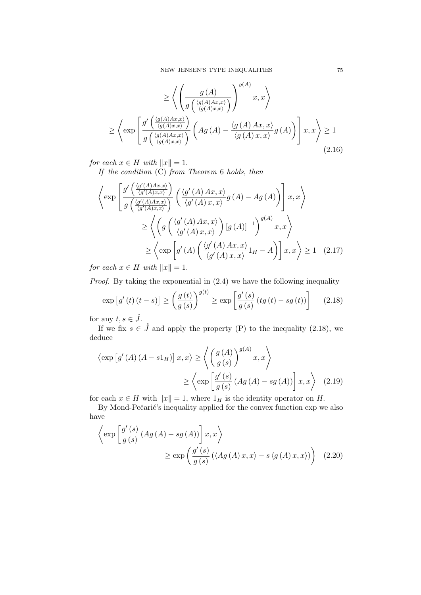$$
\geq \left\langle \left( \frac{g(A)}{g\left(\frac{\langle g(A)Ax,x\rangle}{\langle g(A)x,x\rangle}\right)} \right)^{g(A)} x, x \right\rangle \right\}
$$
\n
$$
\geq \left\langle \exp \left[ \frac{g'\left(\frac{\langle g(A)Ax,x\rangle}{\langle g(A)x,x\rangle}\right)}{g\left(\frac{\langle g(A)Ax,x\rangle}{\langle g(A)x,x\rangle}\right)} \left(Ag(A) - \frac{\langle g(A)Ax,x\rangle}{\langle g(A)x,x\rangle} g(A)\right) \right] x, x \right\rangle \geq 1
$$
\n(2.16)

for each  $x \in H$  with  $||x|| = 1$ .

If the condition (C) from Theorem 6 holds, then

$$
\left\langle \exp \left[ \frac{g' \left( \frac{\langle g'(A)Ax, x \rangle}{\langle g'(A)xx, x \rangle} \right)}{g \left( \frac{\langle g'(A)Ax, x \rangle}{\langle g'(A)x, x \rangle} \right)} \left( \frac{\langle g'(A)Ax, x \rangle}{\langle g'(A)x, x \rangle} g(A) - Ag(A) \right) \right] x, x \right\rangle
$$
  
\n
$$
\geq \left\langle \left( g \left( \frac{\langle g'(A)Ax, x \rangle}{\langle g'(A)x, x \rangle} \right) [g(A)]^{-1} \right)^{g(A)} x, x \right\rangle
$$
  
\n
$$
\geq \left\langle \exp \left[ g'(A) \left( \frac{\langle g'(A)Ax, x \rangle}{\langle g'(A)x, x \rangle} 1_H - A \right) \right] x, x \right\rangle \geq 1 \quad (2.17)
$$

for each  $x \in H$  with  $||x|| = 1$ .

Proof. By taking the exponential in (2.4) we have the following inequality

$$
\exp\left[g'\left(t\right)\left(t-s\right)\right] \ge \left(\frac{g\left(t\right)}{g\left(s\right)}\right)^{g\left(t\right)} \ge \exp\left[\frac{g'\left(s\right)}{g\left(s\right)}\left(tg\left(t\right)-sg\left(t\right)\right)\right] \tag{2.18}
$$

for any  $t, s \in J$ .

If we fix  $s \in \mathring{J}$  and apply the property (P) to the inequality (2.18), we deduce

$$
\langle \exp\left[g'(A)(A-s1_H)\right]x, x \rangle \ge \left\langle \left(\frac{g(A)}{g(s)}\right)^{g(A)}x, x \right\rangle
$$
  
 
$$
\ge \left\langle \exp\left[\frac{g'(s)}{g(s)}(Ag(A)-sg(A))\right]x, x \right\rangle \quad (2.19)
$$

for each  $x \in H$  with  $||x|| = 1$ , where  $1_H$  is the identity operator on H.

By Mond-Pečarić's inequality applied for the convex function exp we also have

$$
\left\langle \exp \left[ \frac{g'(s)}{g(s)} \left( Ag \left( A \right) - sg \left( A \right) \right) \right] x, x \right\rangle
$$
  
 
$$
\geq \exp \left( \frac{g'(s)}{g(s)} \left( \left\langle Ag \left( A \right) x, x \right\rangle - s \left\langle g \left( A \right) x, x \right\rangle \right) \right) (2.20)
$$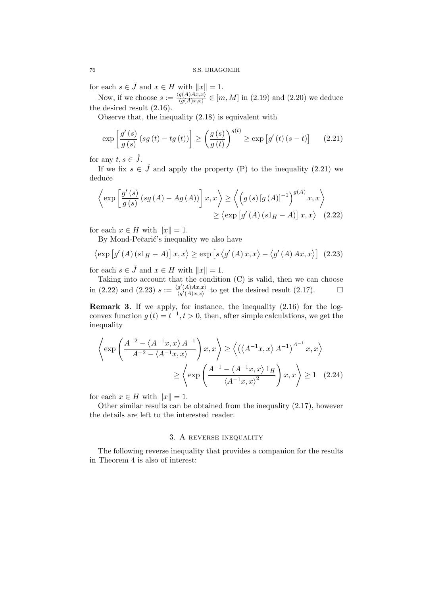for each  $s \in \mathring{J}$  and  $x \in H$  with  $||x|| = 1$ .

Now, if we choose  $s := \frac{\langle g(A)Ax, x \rangle}{\langle g(A)x, x \rangle}$  $\frac{g(A)Ax,x_j}{\langle g(A)x,x\rangle} \in [m,M]$  in  $(2.19)$  and  $(2.20)$  we deduce the desired result (2.16).

Observe that, the inequality (2.18) is equivalent with

$$
\exp\left[\frac{g'(s)}{g(s)}\left(sg\left(t\right)-tg\left(t\right)\right)\right] \ge \left(\frac{g\left(s\right)}{g\left(t\right)}\right)^{g(t)} \ge \exp\left[g'\left(t\right)\left(s-t\right)\right] \tag{2.21}
$$

for any  $t, s \in \mathring{J}$ .

If we fix  $s \in \mathring{J}$  and apply the property (P) to the inequality (2.21) we deduce

$$
\left\langle \exp \left[ \frac{g'(s)}{g(s)} \left( sg \left( A \right) - Ag \left( A \right) \right) \right] x, x \right\rangle \ge \left\langle \left( g \left( s \right) \left[ g \left( A \right) \right]^{-1} \right)^{g(A)} x, x \right\rangle
$$
  
 
$$
\ge \left\langle \exp \left[ g'(A) \left( s1_H - A \right) \right] x, x \right\rangle \quad (2.22)
$$

for each  $x \in H$  with  $||x|| = 1$ .

By Mond-Pečarić's inequality we also have

$$
\langle \exp\left[g'(A)\left(s1_H - A\right)\right]x, x \rangle \ge \exp\left[s\left\langle g'(A)\,x, x\right\rangle - \left\langle g'(A)\,Ax, x\right\rangle\right] \tag{2.23}
$$

for each  $s \in \tilde{J}$  and  $x \in H$  with  $||x|| = 1$ .

Taking into account that the condition (C) is valid, then we can choose in (2.22) and (2.23)  $s := \frac{\langle g'(A)Ax, x \rangle}{\langle g'(A)xx \rangle}$  $\frac{g'(A)Ax,x}{(g'(A)x,x)}$  to get the desired result (2.17).

Remark 3. If we apply, for instance, the inequality (2.16) for the logconvex function  $g(t) = t^{-1}, t > 0$ , then, after simple calculations, we get the inequality

$$
\left\langle \exp\left(\frac{A^{-2} - \langle A^{-1}x, x \rangle A^{-1}}{A^{-2} - \langle A^{-1}x, x \rangle}\right) x, x \right\rangle \ge \left\langle \left(\langle A^{-1}x, x \rangle A^{-1}\right)^{A^{-1}} x, x \right\rangle
$$

$$
\ge \left\langle \exp\left(\frac{A^{-1} - \langle A^{-1}x, x \rangle 1_H}{\langle A^{-1}x, x \rangle^2}\right) x, x \right\rangle \ge 1 \quad (2.24)
$$

for each  $x \in H$  with  $||x|| = 1$ .

Other similar results can be obtained from the inequality (2.17), however the details are left to the interested reader.

## 3. A reverse inequality

The following reverse inequality that provides a companion for the results in Theorem 4 is also of interest: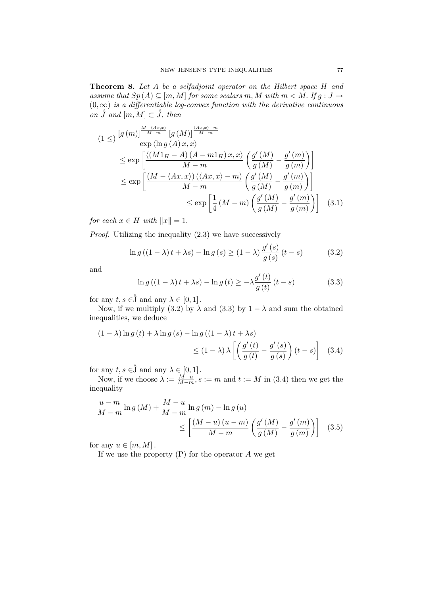**Theorem 8.** Let A be a selfadjoint operator on the Hilbert space H and assume that  $Sp(A) \subseteq [m, M]$  for some scalars m, M with  $m < M$ . If  $g : J \to$  $(0, \infty)$  is a differentiable log-convex function with the derivative continuous on  $\mathring{J}$  and  $[m, M] \subset \mathring{J}$ , then

$$
(1 \leq) \frac{\left[g\left(m\right)\right]^{\frac{M-\langle Ax,x\rangle}{M-m}}\left[g\left(M\right)\right]^{\frac{\langle Ax,x\rangle-m}{M-m}}}{\exp\left(\ln g\left(A\right)x,x\right)} \leq \exp\left[\frac{\langle\left(M1_H-A\right)\left(A-m1_H\right)x,x\rangle}{M-m}\left(\frac{g'\left(M\right)}{g\left(M\right)}-\frac{g'\left(m\right)}{g\left(m\right)}\right)\right] \leq \exp\left[\frac{\left(M-\langle Ax,x\rangle\right)\left(\langle Ax,x\rangle-m\right)}{M-m}\left(\frac{g'\left(M\right)}{g\left(M\right)}-\frac{g'\left(m\right)}{g\left(m\right)}\right)\right] \leq \exp\left[\frac{1}{4}\left(M-m\right)\left(\frac{g'\left(M\right)}{g\left(M\right)}-\frac{g'\left(m\right)}{g\left(m\right)}\right)\right] \quad (3.1)
$$

for each  $x \in H$  with  $||x|| = 1$ .

Proof. Utilizing the inequality (2.3) we have successively

$$
\ln g\left(\left(1-\lambda\right)t+\lambda s\right)-\ln g\left(s\right)\geq\left(1-\lambda\right)\frac{g'\left(s\right)}{g\left(s\right)}\left(t-s\right)\tag{3.2}
$$

and

$$
\ln g\left(\left(1-\lambda\right)t+\lambda s\right)-\ln g\left(t\right)\geq-\lambda\frac{g'\left(t\right)}{g\left(t\right)}\left(t-s\right)\tag{3.3}
$$

for any  $t, s \in \mathring{J}$  and any  $\lambda \in [0, 1]$ .

Now, if we multiply (3.2) by  $\lambda$  and (3.3) by  $1 - \lambda$  and sum the obtained inequalities, we deduce

$$
(1 - \lambda) \ln g(t) + \lambda \ln g(s) - \ln g((1 - \lambda)t + \lambda s)
$$
  
\n
$$
\leq (1 - \lambda) \lambda \left[ \left( \frac{g'(t)}{g(t)} - \frac{g'(s)}{g(s)} \right) (t - s) \right] \quad (3.4)
$$

for any  $t, s \in \mathring{J}$  and any  $\lambda \in [0, 1]$ .

Now, if we choose  $\lambda := \frac{M-u}{M-m}$ ,  $s := m$  and  $t := M$  in (3.4) then we get the inequality

$$
\frac{u-m}{M-m}\ln g\left(M\right) + \frac{M-u}{M-m}\ln g\left(m\right) - \ln g\left(u\right) \n\leq \left[\frac{(M-u)\left(u-m\right)}{M-m}\left(\frac{g'\left(M\right)}{g\left(M\right)} - \frac{g'\left(m\right)}{g\left(m\right)}\right)\right] \tag{3.5}
$$

for any  $u \in [m, M]$ .

If we use the property  $(P)$  for the operator A we get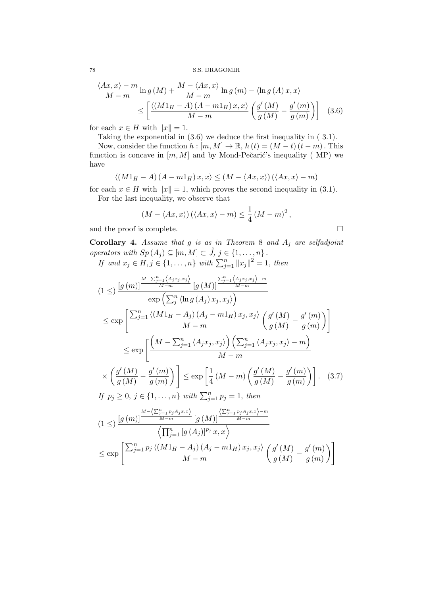$$
\frac{\langle Ax, x \rangle - m}{M - m} \ln g\left(M\right) + \frac{M - \langle Ax, x \rangle}{M - m} \ln g\left(m\right) - \langle \ln g\left(A\right) x, x \rangle
$$
  

$$
\leq \left[ \frac{\langle \left(M1_H - A\right)\left(A - m1_H\right)x, x \rangle}{M - m} \left(\frac{g'\left(M\right)}{g\left(M\right)} - \frac{g'\left(m\right)}{g\left(m\right)}\right) \right] \quad (3.6)
$$

for each  $x \in H$  with  $||x|| = 1$ .

Taking the exponential in (3.6) we deduce the first inequality in ( 3.1).

Now, consider the function  $h : [m, M] \to \mathbb{R}$ ,  $h(t) = (M - t)(t - m)$ . This function is concave in  $[m, M]$  and by Mond-Pečarić's inequality (MP) we have

$$
\langle (M1_H - A) (A - m1_H) x, x \rangle \le (M - \langle Ax, x \rangle) (\langle Ax, x \rangle - m)
$$

for each  $x \in H$  with  $||x|| = 1$ , which proves the second inequality in (3.1). For the last inequality, we observe that

$$
(M - \langle Ax, x \rangle) (\langle Ax, x \rangle - m) \le \frac{1}{4} (M - m)^2,
$$

and the proof is complete.  $\hfill \square$ 

**Corollary 4.** Assume that g is as in Theorem 8 and  $A_j$  are selfadjoint operators with  $Sp(A_j) \subseteq [m, M] \subset \mathring{J}, \, j \in \{1, \ldots, n\}$ .

If and  $x_j \in H, j \in \{1, ..., n\}$  with  $\sum_{j=1}^n ||x_j||^2 = 1$ , then

$$
(1 \leq) \frac{\left[g\left(m\right)\right]^{\frac{M-\sum_{j=1}^{n}\left\langle A_{j}x_{j},x_{j}\right\rangle}{M-m}}\left[g\left(M\right)\right]^{\frac{\sum_{j=1}^{n}\left\langle A_{j}x_{j},x_{j}\right\rangle-m}{M-m}}}{\exp\left(\sum_{j=1}^{n}\left\langle \ln g\left(A_{j}\right)x_{j},x_{j}\right\rangle\right)}
$$
\n
$$
\leq \exp\left[\frac{\sum_{j=1}^{n}\left\langle \left(M1_{H}-A_{j}\right)\left(A_{j}-m1_{H}\right)x_{j},x_{j}\right\rangle}{M-m}\left(\frac{g'\left(M\right)}{g\left(M\right)}-\frac{g'\left(m\right)}{g\left(m\right)}\right)\right]
$$
\n
$$
\leq \exp\left[\frac{\left(M-\sum_{j=1}^{n}\left\langle A_{j}x_{j},x_{j}\right\rangle\right)\left(\sum_{j=1}^{n}\left\langle A_{j}x_{j},x_{j}\right\rangle-m\right)}{M-m}\right]
$$
\n
$$
\times \left(\frac{g'\left(M\right)}{g\left(M\right)}-\frac{g'\left(m\right)}{g\left(m\right)}\right)\right] \leq \exp\left[\frac{1}{4}\left(M-m\right)\left(\frac{g'\left(M\right)}{g\left(M\right)}-\frac{g'\left(m\right)}{g\left(m\right)}\right)\right].
$$
\n(3.7)\nIf  $p_{j} \geq 0, j \in \{1, ..., n\}$  with  $\sum_{j=1}^{n} p_{j} = 1$ , then\n
$$
(1 \leq) \frac{\left[g\left(m\right)\right]^{\frac{M-\left\langle \sum_{j=1}^{n} p_{j}A_{j}x_{j}x\right\rangle}{M-m}}\left[g\left(M\right)]^{\frac{\left\langle \sum_{j=1}^{n} p_{j}A_{j}x_{j}x\right\rangle-m}{M-m}}\right]}{\left\langle \prod_{j=1}^{n}\left[g\left(A_{j}\right)\right]^{p_{j}}x,x\right\rangle}
$$
\n
$$
\leq \exp\left[\frac{\sum_{j=1}^{n} p_{j}\left\langle \left(M1_{H}-A_{j}\right)\left(A_{j}-m1_{H}\right)x_{j},x_{j}\right\rangle}{M-m}\left(\frac{g'\left(M\right)}{g\left
$$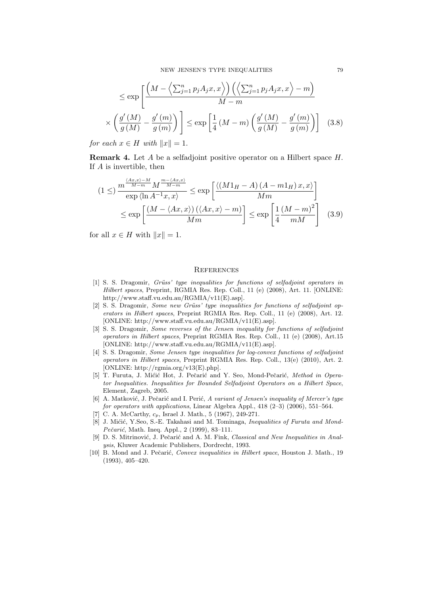$$
\leq \exp\left[\frac{\left(M - \left\langle \sum_{j=1}^{n} p_j A_j x, x \right\rangle\right) \left(\left\langle \sum_{j=1}^{n} p_j A_j x, x \right\rangle - m\right)}{M - m}\right] \times \left(\frac{g'(M)}{g(M)} - \frac{g'(m)}{g(m)}\right)\right] \leq \exp\left[\frac{1}{4}\left(M - m\right)\left(\frac{g'(M)}{g(M)} - \frac{g'(m)}{g(m)}\right)\right] \quad (3.8)
$$

for each  $x \in H$  with  $||x|| = 1$ .

Remark 4. Let A be a selfadjoint positive operator on a Hilbert space H. If A is invertible, then

$$
(1 \leq) \frac{m^{\frac{\langle Ax,x\rangle - M}{M-m}} M^{\frac{m - \langle Ax,x\rangle}{M-m}}}{\exp \langle \ln A^{-1}x, x \rangle} \leq \exp \left[ \frac{\langle (M1_H - A) (A - m1_H) x, x \rangle}{Mm} \right]
$$
  

$$
\leq \exp \left[ \frac{(M - \langle Ax,x \rangle) (\langle Ax,x\rangle - m)}{Mm} \right] \leq \exp \left[ \frac{1}{4} \frac{(M-m)^2}{mM} \right] \quad (3.9)
$$

for all  $x \in H$  with  $||x|| = 1$ .

#### **REFERENCES**

- [1] S. S. Dragomir, Grüss' type inequalities for functions of selfadjoint operators in Hilbert spaces, Preprint, RGMIA Res. Rep. Coll., 11 (e) (2008), Art. 11. [ONLINE: http://www.staff.vu.edu.au/RGMIA/v11(E).asp].
- $[2]$  S. S. Dragomir, Some new Grüss' type inequalities for functions of selfadjoint operators in Hilbert spaces, Preprint RGMIA Res. Rep. Coll., 11 (e) (2008), Art. 12. [ONLINE: http://www.staff.vu.edu.au/RGMIA/v11(E).asp].
- [3] S. S. Dragomir, Some reverses of the Jensen inequality for functions of selfadjoint operators in Hilbert spaces, Preprint RGMIA Res. Rep. Coll., 11 (e) (2008), Art.15 [ONLINE: http://www.staff.vu.edu.au/RGMIA/v11(E).asp].
- [4] S. S. Dragomir, Some Jensen type inequalities for log-convex functions of selfadjoint operators in Hilbert spaces, Preprint RGMIA Res. Rep. Coll., 13(e) (2010), Art. 2. [ONLINE: http://rgmia.org/v13(E).php].
- [5] T. Furuta, J. Mićić Hot, J. Pečarić and Y. Seo, Mond-Pečarić, Method in Operator Inequalities. Inequalities for Bounded Selfadjoint Operators on a Hilbert Space, Element, Zagreb, 2005.
- [6] A. Matković, J. Pečarić and I. Perić, A variant of Jensen's inequality of Mercer's type for operators with applications, Linear Algebra Appl.,  $418$   $(2-3)$   $(2006)$ ,  $551-564$ .
- [7] C. A. McCarthy,  $c_p$ , Israel J. Math., 5 (1967), 249-271.
- [8] J. Mićić, Y.Seo, S.-E. Takahasi and M. Tominaga, *Inequalities of Furuta and Mond-*Pečarić, Math. Ineq. Appl., 2 (1999), 83-111.
- [9] D. S. Mitrinović, J. Pečarić and A. M. Fink, Classical and New Inequalities in Analysis, Kluwer Academic Publishers, Dordrecht, 1993.
- [10] B. Mond and J. Pečarić, Convex inequalities in Hilbert space, Houston J. Math., 19 (1993), 405–420.